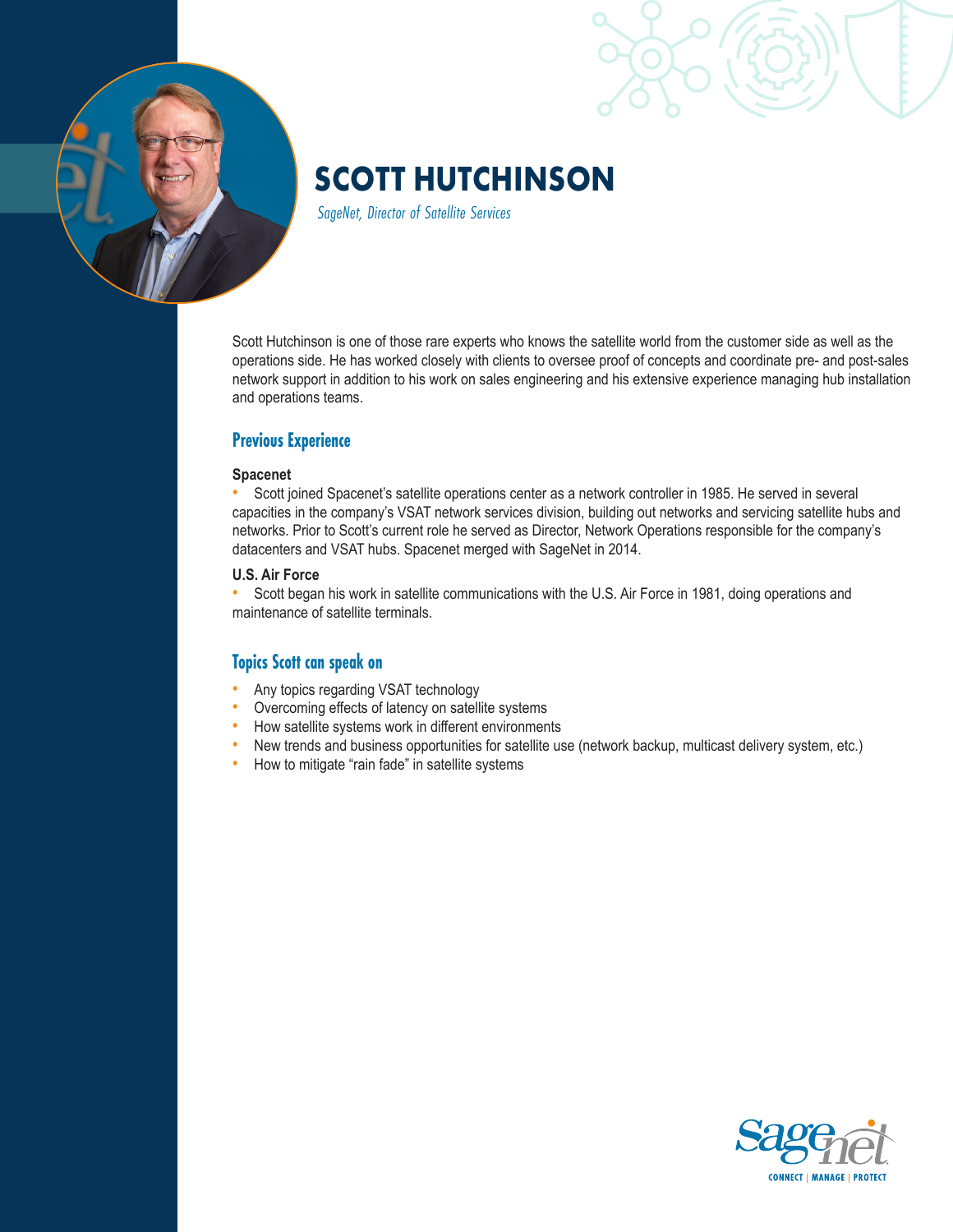

# **SCOTT HUTCHINSON**

*SageNet, Director of Satellite Services*

Scott Hutchinson is one of those rare experts who knows the satellite world from the customer side as well as the operations side. He has worked closely with clients to oversee proof of concepts and coordinate pre- and post-sales network support in addition to his work on sales engineering and his extensive experience managing hub installation and operations teams.

## **Previous Experience**

#### **Spacenet**

• Scott joined Spacenet's satellite operations center as a network controller in 1985. He served in several capacities in the company's VSAT network services division, building out networks and servicing satellite hubs and networks. Prior to Scott's current role he served as Director, Network Operations responsible for the company's datacenters and VSAT hubs. Spacenet merged with SageNet in 2014.

#### **U.S. Air Force**

• Scott began his work in satellite communications with the U.S. Air Force in 1981, doing operations and maintenance of satellite terminals.

## **Topics Scott can speak on**

- Any topics regarding VSAT technology
- Overcoming effects of latency on satellite systems
- How satellite systems work in different environments
- New trends and business opportunities for satellite use (network backup, multicast delivery system, etc.)
- How to mitigate "rain fade" in satellite systems